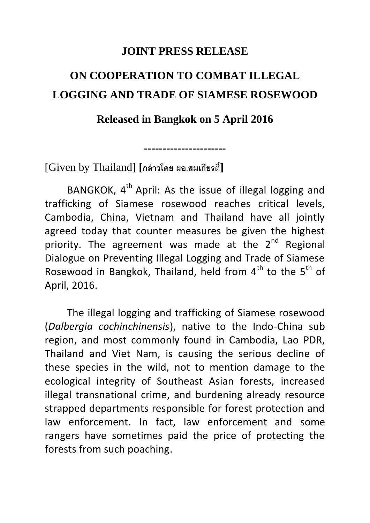## **JOINT PRESS RELEASE**

## **ON COOPERATION TO COMBAT ILLEGAL LOGGING AND TRADE OF SIAMESE ROSEWOOD**

## **Released in Bangkok on 5 April 2016**

**----------------------**

[Given by Thailand] **[กล่าวโดย ผอ.สมเกียรต์]ิ**

BANGKOK,  $4<sup>th</sup>$  April: As the issue of illegal logging and trafficking of Siamese rosewood reaches critical levels, Cambodia, China, Vietnam and Thailand have all jointly agreed today that counter measures be given the highest priority. The agreement was made at the  $2^{nd}$  Regional Dialogue on Preventing Illegal Logging and Trade of Siamese Rosewood in Bangkok, Thailand, held from  $4<sup>th</sup>$  to the  $5<sup>th</sup>$  of April, 2016.

The illegal logging and trafficking of Siamese rosewood (*Dalbergia cochinchinensis*), native to the Indo-China sub region, and most commonly found in Cambodia, Lao PDR, Thailand and Viet Nam, is causing the serious decline of these species in the wild, not to mention damage to the ecological integrity of Southeast Asian forests, increased illegal transnational crime, and burdening already resource strapped departments responsible for forest protection and law enforcement. In fact, law enforcement and some rangers have sometimes paid the price of protecting the forests from such poaching.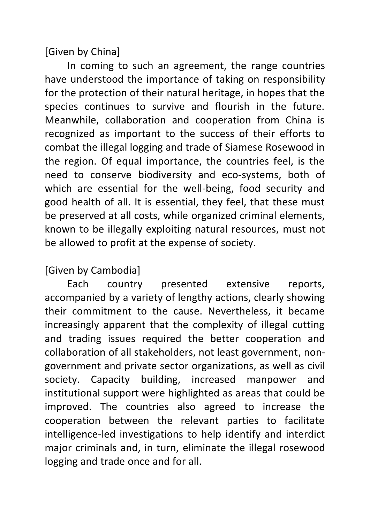[Given by China]

In coming to such an agreement, the range countries have understood the importance of taking on responsibility for the protection of their natural heritage, in hopes that the species continues to survive and flourish in the future. Meanwhile, collaboration and cooperation from China is recognized as important to the success of their efforts to combat the illegal logging and trade of Siamese Rosewood in the region. Of equal importance, the countries feel, is the need to conserve biodiversity and eco-systems, both of which are essential for the well-being, food security and good health of all. It is essential, they feel, that these must be preserved at all costs, while organized criminal elements, known to be illegally exploiting natural resources, must not be allowed to profit at the expense of society.

## [Given by Cambodia]

Each country presented extensive reports, accompanied by a variety of lengthy actions, clearly showing their commitment to the cause. Nevertheless, it became increasingly apparent that the complexity of illegal cutting and trading issues required the better cooperation and collaboration of all stakeholders, not least government, nongovernment and private sector organizations, as well as civil society. Capacity building, increased manpower and institutional support were highlighted as areas that could be improved. The countries also agreed to increase the cooperation between the relevant parties to facilitate intelligence-led investigations to help identify and interdict major criminals and, in turn, eliminate the illegal rosewood logging and trade once and for all.